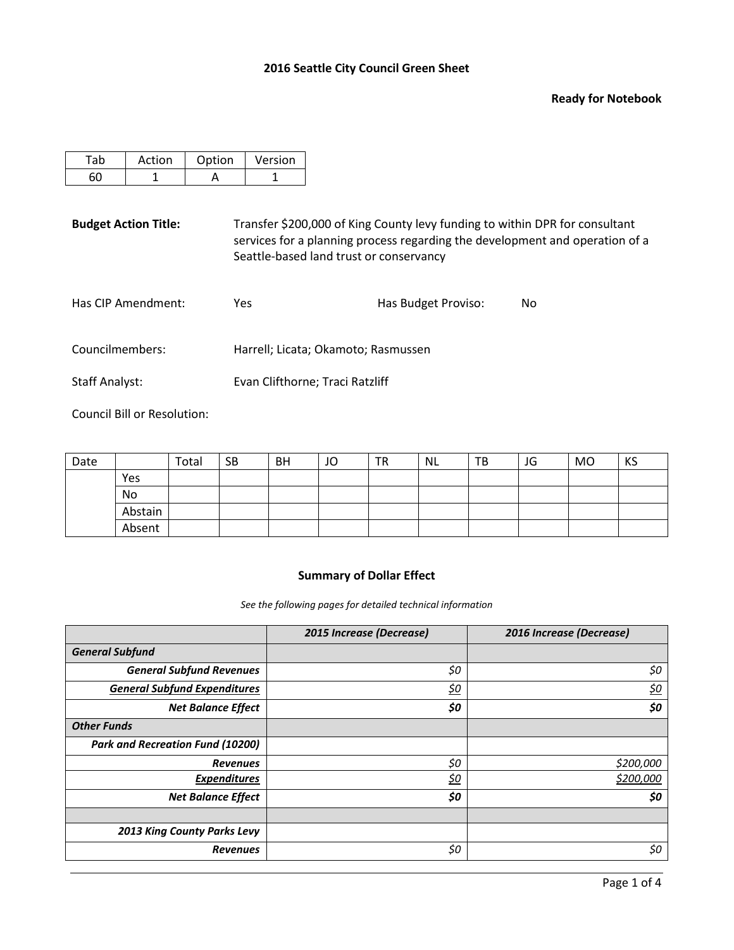### **Ready for Notebook**

| Action | Option | Version |
|--------|--------|---------|
|        |        |         |

**Budget Action Title:** Transfer \$200,000 of King County levy funding to within DPR for consultant services for a planning process regarding the development and operation of a Seattle-based land trust or conservancy

| Has CIP Amendment:                 | Yes                                 | Has Budget Proviso: | Nο |
|------------------------------------|-------------------------------------|---------------------|----|
| Councilmembers:                    | Harrell; Licata; Okamoto; Rasmussen |                     |    |
| $\sim$ $\sim$ $\sim$ $\sim$ $\sim$ |                                     |                     |    |

Staff Analyst: Evan Clifthorne; Traci Ratzliff

Council Bill or Resolution:

| Date |         | Total | <b>SB</b> | <b>BH</b> | JO | <b>TR</b> | <b>NL</b> | ТB | JG | <b>MO</b> | KS |
|------|---------|-------|-----------|-----------|----|-----------|-----------|----|----|-----------|----|
|      | Yes     |       |           |           |    |           |           |    |    |           |    |
|      | No      |       |           |           |    |           |           |    |    |           |    |
|      | Abstain |       |           |           |    |           |           |    |    |           |    |
|      | Absent  |       |           |           |    |           |           |    |    |           |    |

## **Summary of Dollar Effect**

*See the following pages for detailed technical information*

|                                         | 2015 Increase (Decrease) | 2016 Increase (Decrease) |
|-----------------------------------------|--------------------------|--------------------------|
| <b>General Subfund</b>                  |                          |                          |
| <b>General Subfund Revenues</b>         | \$0                      | \$0                      |
| <b>General Subfund Expenditures</b>     | <u>\$0</u>               | <u>\$0</u>               |
| <b>Net Balance Effect</b>               | \$0                      | \$0                      |
| <b>Other Funds</b>                      |                          |                          |
| <b>Park and Recreation Fund (10200)</b> |                          |                          |
| <b>Revenues</b>                         | \$0                      | \$200,000                |
| <b>Expenditures</b>                     | <u>\$0</u>               | \$200,000                |
| <b>Net Balance Effect</b>               | \$0                      | \$0                      |
|                                         |                          |                          |
| 2013 King County Parks Levy             |                          |                          |
| <b>Revenues</b>                         | \$0                      | \$0                      |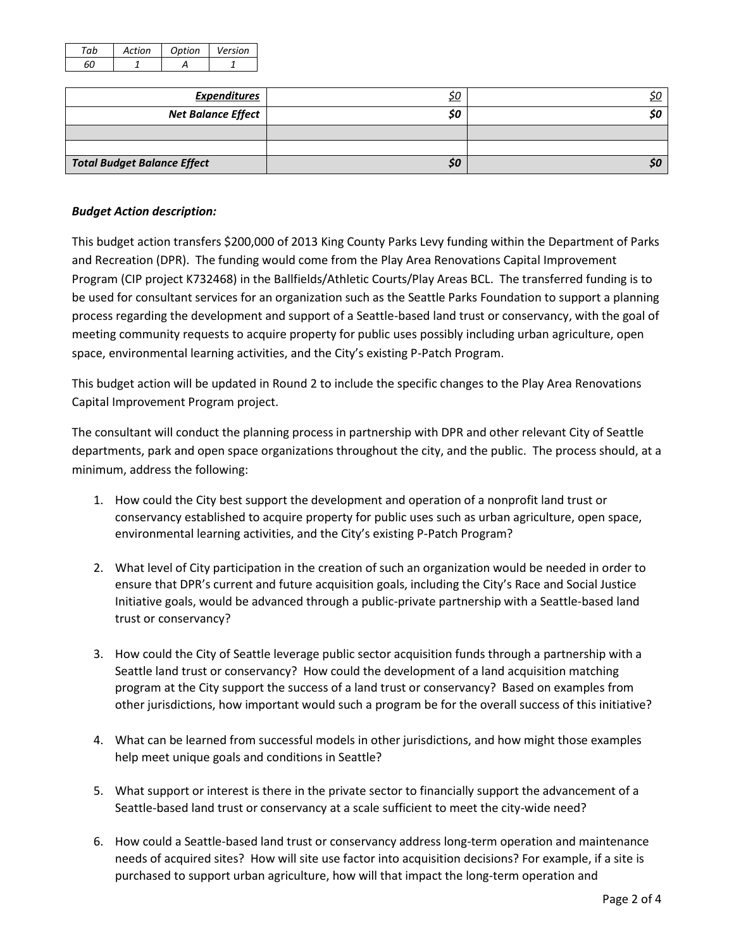| Artion | Ontion | Version |
|--------|--------|---------|
|        |        |         |

| <b>Expenditures</b>                | <u>\$0</u> |  |
|------------------------------------|------------|--|
| <b>Net Balance Effect</b>          | \$0        |  |
|                                    |            |  |
|                                    |            |  |
| <b>Total Budget Balance Effect</b> | \$0        |  |

## *Budget Action description:*

This budget action transfers \$200,000 of 2013 King County Parks Levy funding within the Department of Parks and Recreation (DPR). The funding would come from the Play Area Renovations Capital Improvement Program (CIP project K732468) in the Ballfields/Athletic Courts/Play Areas BCL. The transferred funding is to be used for consultant services for an organization such as the Seattle Parks Foundation to support a planning process regarding the development and support of a Seattle-based land trust or conservancy, with the goal of meeting community requests to acquire property for public uses possibly including urban agriculture, open space, environmental learning activities, and the City's existing P-Patch Program.

This budget action will be updated in Round 2 to include the specific changes to the Play Area Renovations Capital Improvement Program project.

The consultant will conduct the planning process in partnership with DPR and other relevant City of Seattle departments, park and open space organizations throughout the city, and the public. The process should, at a minimum, address the following:

- 1. How could the City best support the development and operation of a nonprofit land trust or conservancy established to acquire property for public uses such as urban agriculture, open space, environmental learning activities, and the City's existing P-Patch Program?
- 2. What level of City participation in the creation of such an organization would be needed in order to ensure that DPR's current and future acquisition goals, including the City's Race and Social Justice Initiative goals, would be advanced through a public-private partnership with a Seattle-based land trust or conservancy?
- 3. How could the City of Seattle leverage public sector acquisition funds through a partnership with a Seattle land trust or conservancy? How could the development of a land acquisition matching program at the City support the success of a land trust or conservancy? Based on examples from other jurisdictions, how important would such a program be for the overall success of this initiative?
- 4. What can be learned from successful models in other jurisdictions, and how might those examples help meet unique goals and conditions in Seattle?
- 5. What support or interest is there in the private sector to financially support the advancement of a Seattle-based land trust or conservancy at a scale sufficient to meet the city-wide need?
- 6. How could a Seattle-based land trust or conservancy address long-term operation and maintenance needs of acquired sites? How will site use factor into acquisition decisions? For example, if a site is purchased to support urban agriculture, how will that impact the long-term operation and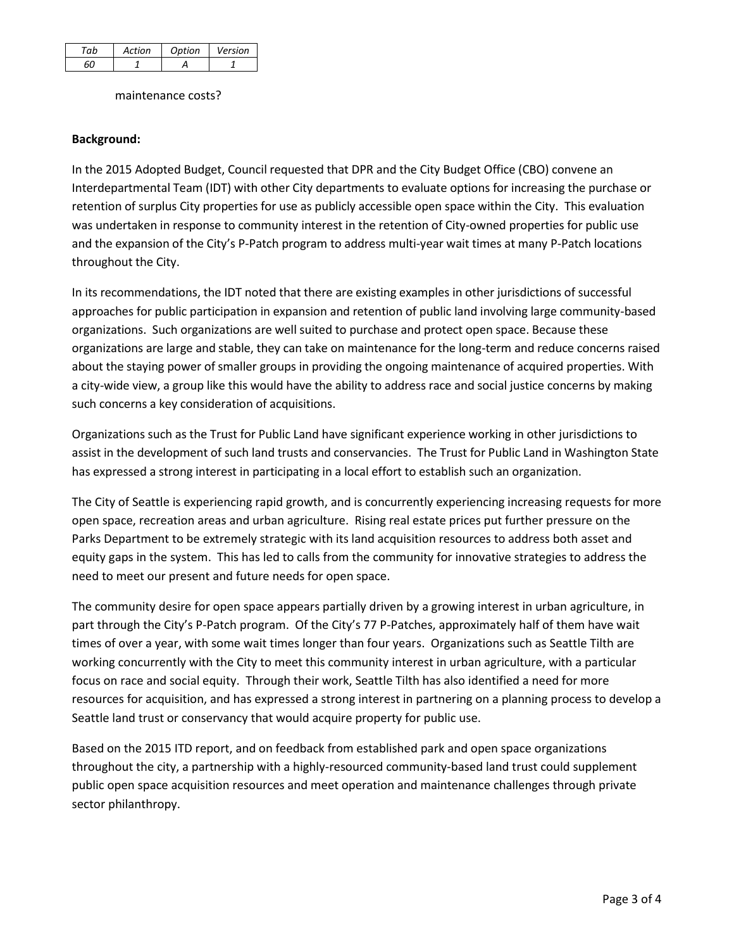| σh | Action | Ontion | Version |
|----|--------|--------|---------|
|    |        |        |         |

maintenance costs?

# **Background:**

In the 2015 Adopted Budget, Council requested that DPR and the City Budget Office (CBO) convene an Interdepartmental Team (IDT) with other City departments to evaluate options for increasing the purchase or retention of surplus City properties for use as publicly accessible open space within the City. This evaluation was undertaken in response to community interest in the retention of City-owned properties for public use and the expansion of the City's P-Patch program to address multi-year wait times at many P-Patch locations throughout the City.

In its recommendations, the IDT noted that there are existing examples in other jurisdictions of successful approaches for public participation in expansion and retention of public land involving large community-based organizations. Such organizations are well suited to purchase and protect open space. Because these organizations are large and stable, they can take on maintenance for the long-term and reduce concerns raised about the staying power of smaller groups in providing the ongoing maintenance of acquired properties. With a city-wide view, a group like this would have the ability to address race and social justice concerns by making such concerns a key consideration of acquisitions.

Organizations such as the Trust for Public Land have significant experience working in other jurisdictions to assist in the development of such land trusts and conservancies. The Trust for Public Land in Washington State has expressed a strong interest in participating in a local effort to establish such an organization.

The City of Seattle is experiencing rapid growth, and is concurrently experiencing increasing requests for more open space, recreation areas and urban agriculture. Rising real estate prices put further pressure on the Parks Department to be extremely strategic with its land acquisition resources to address both asset and equity gaps in the system. This has led to calls from the community for innovative strategies to address the need to meet our present and future needs for open space.

The community desire for open space appears partially driven by a growing interest in urban agriculture, in part through the City's P-Patch program. Of the City's 77 P-Patches, approximately half of them have wait times of over a year, with some wait times longer than four years. Organizations such as Seattle Tilth are working concurrently with the City to meet this community interest in urban agriculture, with a particular focus on race and social equity. Through their work, Seattle Tilth has also identified a need for more resources for acquisition, and has expressed a strong interest in partnering on a planning process to develop a Seattle land trust or conservancy that would acquire property for public use.

Based on the 2015 ITD report, and on feedback from established park and open space organizations throughout the city, a partnership with a highly-resourced community-based land trust could supplement public open space acquisition resources and meet operation and maintenance challenges through private sector philanthropy.